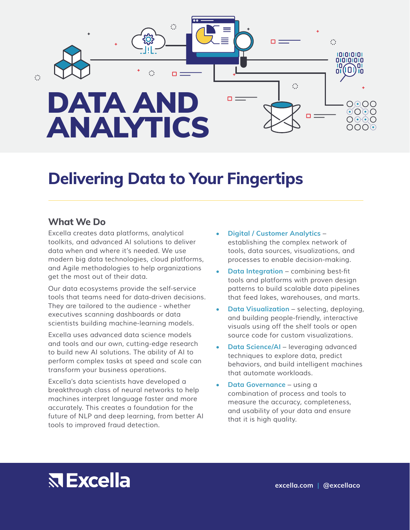

### **Delivering Data to Your Fingertips**

#### **What We Do**

*Excella creates data platforms, analytical toolkits, and advanced AI solutions to deliver data when and where it's needed. We use modern big data technologies, cloud platforms, and Agile methodologies to help organizations get the most out of their data.*

*Our data ecosystems provide the self-service tools that teams need for data-driven decisions. They are tailored to the audience - whether executives scanning dashboards or data scientists building machine-learning models.*

*Excella uses advanced data science models and tools and our own, cutting-edge research to build new AI solutions. The ability of AI to perform complex tasks at speed and scale can transform your business operations.* 

*Excella's data scientists have developed a breakthrough class of neural networks to help machines interpret language faster and more accurately. This creates a foundation for the future of NLP and deep learning, from better AI tools to improved fraud detection.*

- **• Digital / Customer Analytics**  *establishing the complex network of tools, data sources, visualizations, and processes to enable decision-making.*
- **• Data Integration** combining best-fit *tools and platforms with proven design patterns to build scalable data pipelines that feed lakes, warehouses, and marts.*
- **• Data Visualization**  *selecting, deploying, and building people-friendly, interactive visuals using off the shelf tools or open source code for custom visualizations.*
- **• Data Science/AI**  *leveraging advanced techniques to explore data, predict behaviors, and build intelligent machines that automate workloads.*
- **• Data Governance**  *using a combination of process and tools to measure the accuracy, completeness, and usability of your data and ensure that it is high quality.*

# **RExcella**